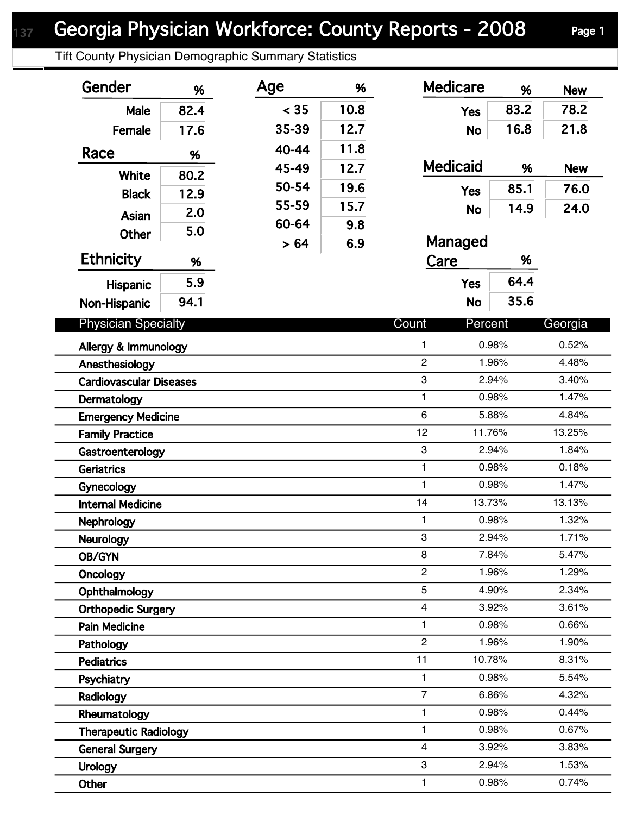Tift County Physician Demographic Summary Statistics

| Gender                                                 | %    | Age   | %    | <b>Medicare</b>         | %              | <b>New</b>     |
|--------------------------------------------------------|------|-------|------|-------------------------|----------------|----------------|
| Male                                                   | 82.4 | < 35  | 10.8 | <b>Yes</b>              | 83.2           | 78.2           |
| Female                                                 | 17.6 | 35-39 | 12.7 | <b>No</b>               | 16.8           | 21.8           |
| Race                                                   |      | 40-44 | 11.8 |                         |                |                |
|                                                        | %    | 45-49 | 12.7 | <b>Medicaid</b>         | %              | <b>New</b>     |
| White                                                  | 80.2 | 50-54 | 19.6 |                         | 85.1           | 76.0           |
| <b>Black</b>                                           | 12.9 | 55-59 | 15.7 | <b>Yes</b>              |                |                |
| Asian                                                  | 2.0  | 60-64 | 9.8  | <b>No</b>               | 14.9           | 24.0           |
| <b>Other</b>                                           | 5.0  | > 64  | 6.9  | Managed                 |                |                |
| <b>Ethnicity</b>                                       | %    |       |      | Care                    | %              |                |
| Hispanic                                               | 5.9  |       |      | <b>Yes</b>              | 64.4           |                |
| Non-Hispanic                                           | 94.1 |       |      | <b>No</b>               | 35.6           |                |
|                                                        |      |       |      |                         |                |                |
| <b>Physician Specialty</b>                             |      |       |      | Count<br>Percent        |                | Georgia        |
| Allergy & Immunology                                   |      |       |      | 1                       | 0.98%          | 0.52%          |
| Anesthesiology                                         |      |       |      | $\overline{c}$          | 1.96%          | 4.48%          |
| <b>Cardiovascular Diseases</b>                         |      |       |      | 3                       | 2.94%          | 3.40%          |
| Dermatology                                            |      |       |      | $\mathbf{1}$            | 0.98%          | 1.47%          |
| <b>Emergency Medicine</b>                              |      |       |      | 6                       | 5.88%          | 4.84%          |
| <b>Family Practice</b>                                 |      |       |      | 12<br>11.76%            |                | 13.25%         |
| Gastroenterology                                       |      |       |      | 3                       | 2.94%          | 1.84%          |
| <b>Geriatrics</b>                                      |      |       |      | 1                       | 0.98%          | 0.18%          |
| Gynecology                                             |      |       |      | $\mathbf{1}$            | 0.98%          | 1.47%          |
| <b>Internal Medicine</b>                               |      |       |      | 13.73%<br>14            |                | 13.13%         |
| <b>Nephrology</b>                                      |      |       |      | 1                       | 0.98%          | 1.32%          |
| Neurology                                              |      |       |      | 3                       | 2.94%          | 1.71%          |
| OB/GYN                                                 |      |       |      | 8                       | 7.84%          | 5.47%          |
| Oncology                                               |      |       |      | $\overline{c}$          | 1.96%          | 1.29%          |
| Ophthalmology                                          |      |       |      | 5<br>4                  | 4.90%          | 2.34%          |
| <b>Orthopedic Surgery</b>                              |      |       |      | 1                       | 3.92%<br>0.98% | 3.61%<br>0.66% |
| <b>Pain Medicine</b>                                   |      |       |      | $\overline{2}$          | 1.96%          | 1.90%          |
| Pathology                                              |      |       |      | 11<br>10.78%            |                | 8.31%          |
| <b>Pediatrics</b>                                      |      |       |      | 1                       | 0.98%          | 5.54%          |
| Psychiatry                                             |      |       |      | $\overline{7}$          | 6.86%          | 4.32%          |
| Radiology                                              |      |       |      | $\mathbf{1}$            | 0.98%          | 0.44%          |
| Rheumatology                                           |      |       |      | 1                       | 0.98%          | 0.67%          |
| <b>Therapeutic Radiology</b><br><b>General Surgery</b> |      |       |      | $\overline{\mathbf{4}}$ | 3.92%          | 3.83%          |
| <b>Urology</b>                                         |      |       |      | 3                       | 2.94%          | 1.53%          |
| Other                                                  |      |       |      | $\mathbf{1}$            | 0.98%          | 0.74%          |
|                                                        |      |       |      |                         |                |                |